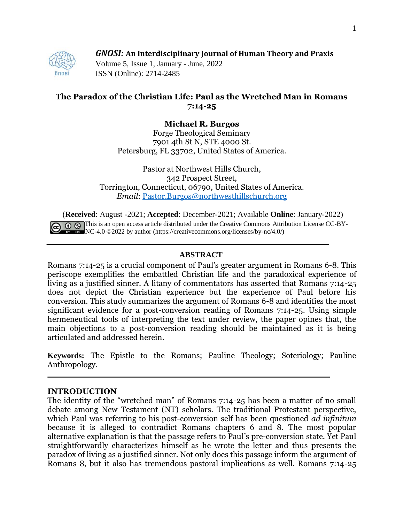## *GNOSI:* **An Interdisciplinary Journal of Human Theory and Praxis**



Volume 5, Issue 1, January - June, 2022 ISSN (Online): 2714-2485

# **The Paradox of the Christian Life: Paul as the Wretched Man in Romans 7:14-25**

# **Michael R. Burgos**

Forge Theological Seminary 7901 4th St N, STE 4000 St. Petersburg, FL 33702, United States of America.

Pastor at Northwest Hills Church, 342 Prospect Street, Torrington, Connecticut, 06790, United States of America. *Email*: [Pastor.Burgos@northwesthillschurch.org](mailto:Pastor.Burgos@northwesthillschurch.org)

(**Received**: August -2021; **Accepted**: December-2021; Available **Online**: January-2022) This is an open access article distributed under the Creative Commons Attribution License CC-BY-NC-4.0  $\odot$ 2022 by author (https://creativecommons.org/licenses/by-nc/4.0/)

## **ABSTRACT**

Romans 7:14-25 is a crucial component of Paul's greater argument in Romans 6-8. This periscope exemplifies the embattled Christian life and the paradoxical experience of living as a justified sinner. A litany of commentators has asserted that Romans 7:14-25 does not depict the Christian experience but the experience of Paul before his conversion. This study summarizes the argument of Romans 6-8 and identifies the most significant evidence for a post-conversion reading of Romans 7:14-25. Using simple hermeneutical tools of interpreting the text under review, the paper opines that, the main objections to a post-conversion reading should be maintained as it is being articulated and addressed herein.

**Keywords:** The Epistle to the Romans; Pauline Theology; Soteriology; Pauline Anthropology.

#### **INTRODUCTION**

The identity of the "wretched man" of Romans 7:14-25 has been a matter of no small debate among New Testament (NT) scholars. The traditional Protestant perspective, which Paul was referring to his post-conversion self has been questioned *ad infinitum* because it is alleged to contradict Romans chapters 6 and 8. The most popular alternative explanation is that the passage refers to Paul's pre-conversion state. Yet Paul straightforwardly characterizes himself as he wrote the letter and thus presents the paradox of living as a justified sinner. Not only does this passage inform the argument of Romans 8, but it also has tremendous pastoral implications as well. Romans 7:14-25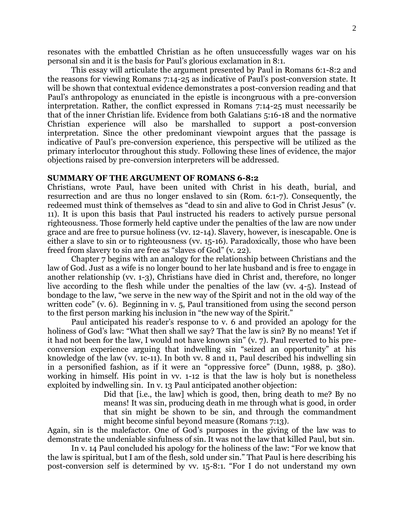resonates with the embattled Christian as he often unsuccessfully wages war on his personal sin and it is the basis for Paul's glorious exclamation in 8:1.

This essay will articulate the argument presented by Paul in Romans 6:1-8:2 and the reasons for viewing Romans 7:14-25 as indicative of Paul's post-conversion state. It will be shown that contextual evidence demonstrates a post-conversion reading and that Paul's anthropology as enunciated in the epistle is incongruous with a pre-conversion interpretation. Rather, the conflict expressed in Romans 7:14-25 must necessarily be that of the inner Christian life. Evidence from both Galatians 5:16-18 and the normative Christian experience will also be marshalled to support a post-conversion interpretation. Since the other predominant viewpoint argues that the passage is indicative of Paul's pre-conversion experience, this perspective will be utilized as the primary interlocutor throughout this study. Following these lines of evidence, the major objections raised by pre-conversion interpreters will be addressed.

## **SUMMARY OF THE ARGUMENT OF ROMANS 6-8:2**

Christians, wrote Paul, have been united with Christ in his death, burial, and resurrection and are thus no longer enslaved to sin (Rom. 6:1-7). Consequently, the redeemed must think of themselves as "dead to sin and alive to God in Christ Jesus" (v. 11). It is upon this basis that Paul instructed his readers to actively pursue personal righteousness. Those formerly held captive under the penalties of the law are now under grace and are free to pursue holiness (vv. 12-14). Slavery, however, is inescapable. One is either a slave to sin or to righteousness (vv. 15-16). Paradoxically, those who have been freed from slavery to sin are free as "slaves of God" (v. 22).

Chapter 7 begins with an analogy for the relationship between Christians and the law of God. Just as a wife is no longer bound to her late husband and is free to engage in another relationship (vv. 1-3), Christians have died in Christ and, therefore, no longer live according to the flesh while under the penalties of the law (vv. 4-5). Instead of bondage to the law, "we serve in the new way of the Spirit and not in the old way of the written code" (v. 6). Beginning in v. 5, Paul transitioned from using the second person to the first person marking his inclusion in "the new way of the Spirit."

Paul anticipated his reader's response to v. 6 and provided an apology for the holiness of God's law: "What then shall we say? That the law is sin? By no means! Yet if it had not been for the law, I would not have known sin" (v. 7). Paul reverted to his preconversion experience arguing that indwelling sin "seized an opportunity" at his knowledge of the law (vv. 1c-11). In both vv. 8 and 11, Paul described his indwelling sin in a personified fashion, as if it were an "oppressive force" (Dunn, 1988, p. 380). working in himself. His point in vv. 1-12 is that the law is holy but is nonetheless exploited by indwelling sin. In v. 13 Paul anticipated another objection:

> Did that [i.e., the law] which is good, then, bring death to me? By no means! It was sin, producing death in me through what is good, in order that sin might be shown to be sin, and through the commandment might become sinful beyond measure (Romans 7:13).

Again, sin is the malefactor. One of God's purposes in the giving of the law was to demonstrate the undeniable sinfulness of sin. It was not the law that killed Paul, but sin.

In v. 14 Paul concluded his apology for the holiness of the law: "For we know that the law is spiritual, but I am of the flesh, sold under sin." That Paul is here describing his post-conversion self is determined by vv. 15-8:1. "For I do not understand my own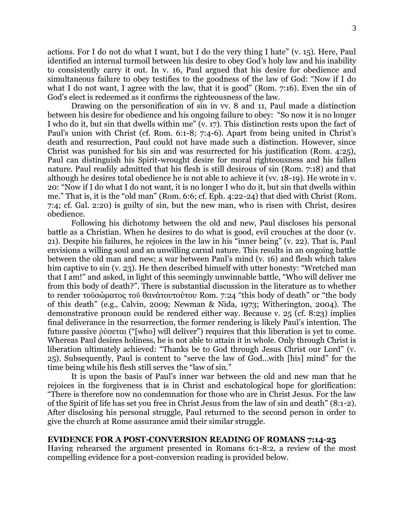actions. For I do not do what I want, but I do the very thing I hate" (v. 15). Here, Paul identified an internal turmoil between his desire to obey God's holy law and his inability to consistently carry it out. In v. 16, Paul argued that his desire for obedience and simultaneous failure to obey testifies to the goodness of the law of God: "Now if I do what I do not want, I agree with the law, that it is good" (Rom. 7:16). Even the sin of God's elect is redeemed as it confirms the righteousness of the law.

Drawing on the personification of sin in vv. 8 and 11, Paul made a distinction between his desire for obedience and his ongoing failure to obey: "So now it is no longer I who do it, but sin that dwells within me" (v. 17). This distinction rests upon the fact of Paul's union with Christ (cf. Rom. 6:1-8; 7:4-6). Apart from being united in Christ's death and resurrection, Paul could not have made such a distinction. However, since Christ was punished for his sin and was resurrected for his justification (Rom. 4:25), Paul can distinguish his Spirit-wrought desire for moral righteousness and his fallen nature. Paul readily admitted that his flesh is still desirous of sin (Rom. 7:18) and that although he desires total obedience he is not able to achieve it (vv. 18-19). He wrote in v. 20: "Now if I do what I do not want, it is no longer I who do it, but sin that dwells within me." That is, it is the "old man" (Rom. 6:6; cf. Eph. 4:22-24) that died with Christ (Rom. 7:4; cf. Gal. 2:20) is guilty of sin, but the new man, who is risen with Christ, desires obedience.

Following his dichotomy between the old and new, Paul discloses his personal battle as a Christian. When he desires to do what is good, evil crouches at the door (v. 21). Despite his failures, he rejoices in the law in his "inner being" (v. 22). That is, Paul envisions a willing soul and an unwilling carnal nature. This results in an ongoing battle between the old man and new; a war between Paul's mind (v. 16) and flesh which takes him captive to sin (v. 23). He then described himself with utter honesty: "Wretched man that I am!" and asked, in light of this seemingly unwinnable battle, "Who will deliver me from this body of death?". There is substantial discussion in the literature as to whether to render τοῦσώματος τοῦ θανάτουτούτου Rom. 7:24 "this body of death" or "the body of this death" (e.g., Calvin, 2009; Newman & Nida, 1973; Witherington, 2004). The demonstrative pronoun could be rendered either way. Because v. 25 (cf. 8:23) implies final deliverance in the resurrection, the former rendering is likely Paul's intention. The future passive ῥύσεται ("[who] will deliver") requires that this liberation is yet to come. Whereas Paul desires holiness, he is not able to attain it in whole. Only through Christ is liberation ultimately achieved: "Thanks be to God through Jesus Christ our Lord" (v. 25). Subsequently, Paul is content to "serve the law of God...with [his] mind" for the time being while his flesh still serves the "law of sin."

It is upon the basis of Paul's inner war between the old and new man that he rejoices in the forgiveness that is in Christ and eschatological hope for glorification: "There is therefore now no condemnation for those who are in Christ Jesus. For the law of the Spirit of life has set you free in Christ Jesus from the law of sin and death" (8:1-2). After disclosing his personal struggle, Paul returned to the second person in order to give the church at Rome assurance amid their similar struggle.

## **EVIDENCE FOR A POST-CONVERSION READING OF ROMANS 7:14-25**

Having rehearsed the argument presented in Romans 6:1-8:2, a review of the most compelling evidence for a post-conversion reading is provided below.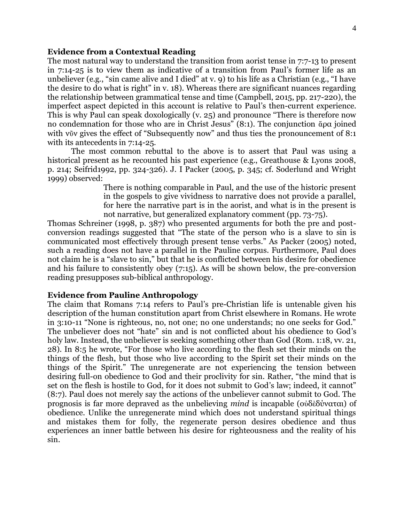#### **Evidence from a Contextual Reading**

The most natural way to understand the transition from aorist tense in 7:7-13 to present in 7:14-25 is to view them as indicative of a transition from Paul's former life as an unbeliever (e.g., "sin came alive and I died" at v. 9) to his life as a Christian (e.g., "I have the desire to do what is right" in v. 18). Whereas there are significant nuances regarding the relationship between grammatical tense and time (Campbell, 2015, pp. 217-220), the imperfect aspect depicted in this account is relative to Paul's then-current experience. This is why Paul can speak doxologically (v. 25) and pronounce "There is therefore now no condemnation for those who are in Christ Jesus" (8:1). The conjunction ἄρα joined with νῦν gives the effect of "Subsequently now" and thus ties the pronouncement of 8:1 with its antecedents in 7:14-25.

The most common rebuttal to the above is to assert that Paul was using a historical present as he recounted his past experience (e.g., Greathouse & Lyons 2008, p. 214; Seifrid1992, pp. 324-326). J. I Packer (2005, p. 345; cf. Soderlund and Wright 1999) observed:

> There is nothing comparable in Paul, and the use of the historic present in the gospels to give vividness to narrative does not provide a parallel, for here the narrative part is in the aorist, and what is in the present is not narrative, but generalized explanatory comment (pp. 73-75).

Thomas Schreiner (1998, p. 387) who presented arguments for both the pre and postconversion readings suggested that "The state of the person who is a slave to sin is communicated most effectively through present tense verbs." As Packer (2005) noted, such a reading does not have a parallel in the Pauline corpus. Furthermore, Paul does not claim he is a "slave to sin," but that he is conflicted between his desire for obedience and his failure to consistently obey (7:15). As will be shown below, the pre-conversion reading presupposes sub-biblical anthropology.

## **Evidence from Pauline Anthropology**

The claim that Romans 7:14 refers to Paul's pre-Christian life is untenable given his description of the human constitution apart from Christ elsewhere in Romans. He wrote in 3:10-11 "None is righteous, no, not one; no one understands; no one seeks for God." The unbeliever does not "hate" sin and is not conflicted about his obedience to God's holy law. Instead, the unbeliever is seeking something other than God (Rom. 1:18, vv. 21, 28). In 8:5 he wrote, "For those who live according to the flesh set their minds on the things of the flesh, but those who live according to the Spirit set their minds on the things of the Spirit." The unregenerate are not experiencing the tension between desiring full-on obedience to God and their proclivity for sin. Rather, "the mind that is set on the flesh is hostile to God, for it does not submit to God's law; indeed, it cannot" (8:7). Paul does not merely say the actions of the unbeliever cannot submit to God. The prognosis is far more depraved as the unbelieving *mind* is incapable (οὐδὲδύναται) of obedience. Unlike the unregenerate mind which does not understand spiritual things and mistakes them for folly, the regenerate person desires obedience and thus experiences an inner battle between his desire for righteousness and the reality of his sin.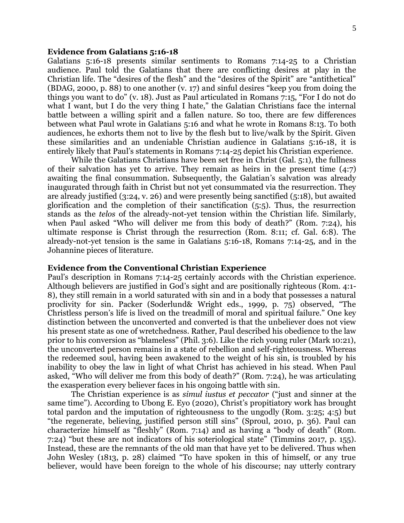#### **Evidence from Galatians 5:16-18**

Galatians 5:16-18 presents similar sentiments to Romans 7:14-25 to a Christian audience. Paul told the Galatians that there are conflicting desires at play in the Christian life. The "desires of the flesh" and the "desires of the Spirit" are "antithetical" (BDAG, 2000, p. 88) to one another (v. 17) and sinful desires "keep you from doing the things you want to do" (v. 18). Just as Paul articulated in Romans 7:15, "For I do not do what I want, but I do the very thing I hate," the Galatian Christians face the internal battle between a willing spirit and a fallen nature. So too, there are few differences between what Paul wrote in Galatians 5:16 and what he wrote in Romans 8:13. To both audiences, he exhorts them not to live by the flesh but to live/walk by the Spirit. Given these similarities and an undeniable Christian audience in Galatians 5:16-18, it is entirely likely that Paul's statements in Romans 7:14-25 depict his Christian experience.

While the Galatians Christians have been set free in Christ (Gal. 5:1), the fullness of their salvation has yet to arrive. They remain as heirs in the present time (4:7) awaiting the final consummation. Subsequently, the Galatian's salvation was already inaugurated through faith in Christ but not yet consummated via the resurrection. They are already justified (3:24, v. 26) and were presently being sanctified (5:18), but awaited glorification and the completion of their sanctification (5:5). Thus, the resurrection stands as the *telos* of the already-not-yet tension within the Christian life. Similarly, when Paul asked "Who will deliver me from this body of death?" (Rom. 7:24), his ultimate response is Christ through the resurrection (Rom. 8:11; cf. Gal. 6:8). The already-not-yet tension is the same in Galatians 5:16-18, Romans 7:14-25, and in the Johannine pieces of literature.

#### **Evidence from the Conventional Christian Experience**

Paul's description in Romans 7:14-25 certainly accords with the Christian experience. Although believers are justified in God's sight and are positionally righteous (Rom. 4:1- 8), they still remain in a world saturated with sin and in a body that possesses a natural proclivity for sin. Packer (Soderlund& Wright eds., 1999, p. 75) observed, "The Christless person's life is lived on the treadmill of moral and spiritual failure." One key distinction between the unconverted and converted is that the unbeliever does not view his present state as one of wretchedness. Rather, Paul described his obedience to the law prior to his conversion as "blameless" (Phil. 3:6). Like the rich young ruler (Mark 10:21), the unconverted person remains in a state of rebellion and self-righteousness. Whereas the redeemed soul, having been awakened to the weight of his sin, is troubled by his inability to obey the law in light of what Christ has achieved in his stead. When Paul asked, "Who will deliver me from this body of death?" (Rom. 7:24), he was articulating the exasperation every believer faces in his ongoing battle with sin.

The Christian experience is as *simul iustus et peccator* ("just and sinner at the same time"). According to Ubong E. Eyo (2020), Christ's propitiatory work has brought total pardon and the imputation of righteousness to the ungodly (Rom. 3:25; 4:5) but "the regenerate, believing, justified person still sins" (Sproul, 2010, p. 36). Paul can characterize himself as "fleshly" (Rom. 7:14) and as having a "body of death" (Rom. 7:24) "but these are not indicators of his soteriological state" (Timmins 2017, p. 155). Instead, these are the remnants of the old man that have yet to be delivered. Thus when John Wesley (1813, p. 28) claimed "To have spoken in this of himself, or any true believer, would have been foreign to the whole of his discourse; nay utterly contrary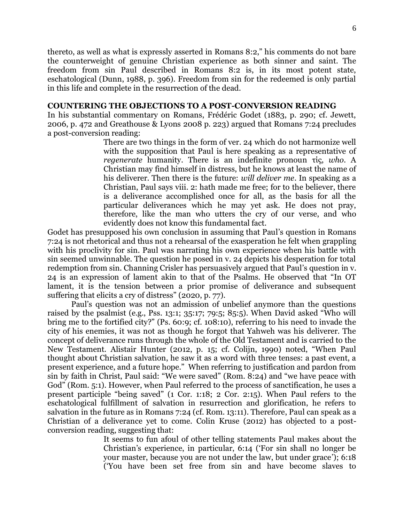thereto, as well as what is expressly asserted in Romans 8:2," his comments do not bare the counterweight of genuine Christian experience as both sinner and saint. The freedom from sin Paul described in Romans 8:2 is, in its most potent state, eschatological (Dunn, 1988, p. 396). Freedom from sin for the redeemed is only partial in this life and complete in the resurrection of the dead.

## **COUNTERING THE OBJECTIONS TO A POST-CONVERSION READING**

In his substantial commentary on Romans, Frédéric Godet (1883, p. 290; cf. Jewett, 2006, p. 472 and Greathouse & Lyons 2008 p. 223) argued that Romans 7:24 precludes a post-conversion reading:

There are two things in the form of ver. 24 which do not harmonize well with the supposition that Paul is here speaking as a representative of *regenerate* humanity. There is an indefinite pronoun τίς, *who*. A Christian may find himself in distress, but he knows at least the name of his deliverer. Then there is the future: *will deliver me*. In speaking as a Christian, Paul says viii. 2: hath made me free; for to the believer, there is a deliverance accomplished once for all, as the basis for all the particular deliverances which he may yet ask. He does not pray, therefore, like the man who utters the cry of our verse, and who evidently does not know this fundamental fact.

Godet has presupposed his own conclusion in assuming that Paul's question in Romans 7:24 is not rhetorical and thus not a rehearsal of the exasperation he felt when grappling with his proclivity for sin. Paul was narrating his own experience when his battle with sin seemed unwinnable. The question he posed in v. 24 depicts his desperation for total redemption from sin. Channing Crisler has persuasively argued that Paul's question in v. 24 is an expression of lament akin to that of the Psalms. He observed that "In OT lament, it is the tension between a prior promise of deliverance and subsequent suffering that elicits a cry of distress" (2020, p. 77).

Paul's question was not an admission of unbelief anymore than the questions raised by the psalmist (e.g., Pss. 13:1; 35:17; 79:5; 85:5). When David asked "Who will bring me to the fortified city?" (Ps. 60:9; cf. 108:10), referring to his need to invade the city of his enemies, it was not as though he forgot that Yahweh was his deliverer. The concept of deliverance runs through the whole of the Old Testament and is carried to the New Testament. Alistair Hunter (2012, p. 15; cf. Colijn, 1990) noted, "When Paul thought about Christian salvation, he saw it as a word with three tenses: a past event, a present experience, and a future hope." When referring to justification and pardon from sin by faith in Christ, Paul said: "We were saved" (Rom. 8:24) and "we have peace with God" (Rom. 5:1). However, when Paul referred to the process of sanctification, he uses a present participle "being saved" (1 Cor. 1:18; 2 Cor. 2:15). When Paul refers to the eschatological fulfillment of salvation in resurrection and glorification, he refers to salvation in the future as in Romans 7:24 (cf. Rom. 13:11). Therefore, Paul can speak as a Christian of a deliverance yet to come. Colin Kruse (2012) has objected to a postconversion reading, suggesting that:

> It seems to fun afoul of other telling statements Paul makes about the Christian's experience, in particular, 6:14 ('For sin shall no longer be your master, because you are not under the law, but under grace'); 6:18 ('You have been set free from sin and have become slaves to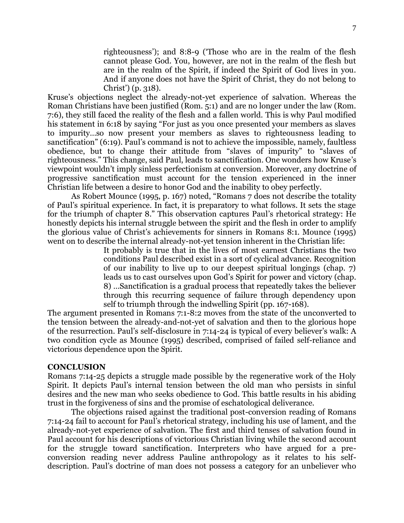righteousness'); and 8:8-9 ('Those who are in the realm of the flesh cannot please God. You, however, are not in the realm of the flesh but are in the realm of the Spirit, if indeed the Spirit of God lives in you. And if anyone does not have the Spirit of Christ, they do not belong to Christ') (p. 318).

Kruse's objections neglect the already-not-yet experience of salvation. Whereas the Roman Christians have been justified (Rom. 5:1) and are no longer under the law (Rom. 7:6), they still faced the reality of the flesh and a fallen world. This is why Paul modified his statement in 6:18 by saying "For just as you once presented your members as slaves to impurity…so now present your members as slaves to righteousness leading to sanctification" (6:19). Paul's command is not to achieve the impossible, namely, faultless obedience, but to change their attitude from "slaves of impurity" to "slaves of righteousness." This change, said Paul, leads to sanctification. One wonders how Kruse's viewpoint wouldn't imply sinless perfectionism at conversion. Moreover, any doctrine of progressive sanctification must account for the tension experienced in the inner Christian life between a desire to honor God and the inability to obey perfectly.

As Robert Mounce (1995, p. 167) noted, "Romans 7 does not describe the totality of Paul's spiritual experience. In fact, it is preparatory to what follows. It sets the stage for the triumph of chapter 8." This observation captures Paul's rhetorical strategy: He honestly depicts his internal struggle between the spirit and the flesh in order to amplify the glorious value of Christ's achievements for sinners in Romans 8:1. Mounce (1995) went on to describe the internal already-not-yet tension inherent in the Christian life:

> It probably is true that in the lives of most earnest Christians the two conditions Paul described exist in a sort of cyclical advance. Recognition of our inability to live up to our deepest spiritual longings (chap. 7) leads us to cast ourselves upon God's Spirit for power and victory (chap. 8) …Sanctification is a gradual process that repeatedly takes the believer through this recurring sequence of failure through dependency upon self to triumph through the indwelling Spirit (pp. 167-168).

The argument presented in Romans 7:1-8:2 moves from the state of the unconverted to the tension between the already-and-not-yet of salvation and then to the glorious hope of the resurrection. Paul's self-disclosure in 7:14-24 is typical of every believer's walk: A two condition cycle as Mounce (1995) described, comprised of failed self-reliance and victorious dependence upon the Spirit.

## **CONCLUSION**

Romans 7:14-25 depicts a struggle made possible by the regenerative work of the Holy Spirit. It depicts Paul's internal tension between the old man who persists in sinful desires and the new man who seeks obedience to God. This battle results in his abiding trust in the forgiveness of sins and the promise of eschatological deliverance.

The objections raised against the traditional post-conversion reading of Romans 7:14-24 fail to account for Paul's rhetorical strategy, including his use of lament, and the already-not-yet experience of salvation. The first and third tenses of salvation found in Paul account for his descriptions of victorious Christian living while the second account for the struggle toward sanctification. Interpreters who have argued for a preconversion reading never address Pauline anthropology as it relates to his selfdescription. Paul's doctrine of man does not possess a category for an unbeliever who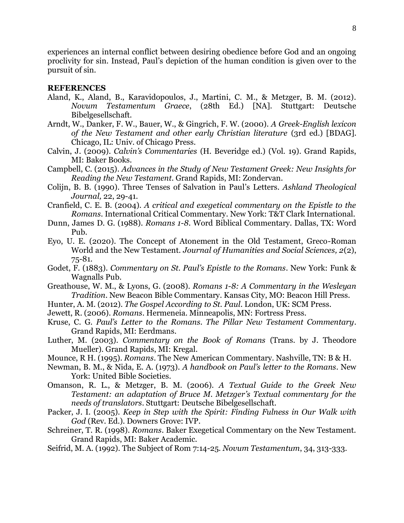experiences an internal conflict between desiring obedience before God and an ongoing proclivity for sin. Instead, Paul's depiction of the human condition is given over to the pursuit of sin.

## **REFERENCES**

- Aland, K., Aland, B., Karavidopoulos, J., Martini, C. M., & Metzger, B. M. (2012). *Novum Testamentum Graece*, (28th Ed.) [NA]. Stuttgart: Deutsche Bibelgesellschaft.
- Arndt, W., Danker, F. W., Bauer, W., & Gingrich, F. W. (2000). *A Greek-English lexicon of the New Testament and other early Christian literature* (3rd ed.) [BDAG]. Chicago, IL: Univ. of Chicago Press.
- Calvin, J. (2009). *Calvin's Commentaries* (H. Beveridge ed.) (Vol. 19). Grand Rapids, MI: Baker Books.
- Campbell, C. (2015). *Advances in the Study of New Testament Greek: New Insights for Reading the New Testament*. Grand Rapids, MI: Zondervan.
- Colijn, B. B. (1990). Three Tenses of Salvation in Paul's Letters. *Ashland Theological Journal,* 22, 29-41.
- Cranfield, C. E. B. (2004). *A critical and exegetical commentary on the Epistle to the Romans*. International Critical Commentary. New York: T&T Clark International.
- Dunn, James D. G. (1988). *Romans 1-8*. Word Biblical Commentary. Dallas, TX: Word Pub.
- Eyo, U. E. (2020). The Concept of Atonement in the Old Testament, Greco-Roman World and the New Testament. *Journal of Humanities and Social Sciences, 2*(2), 75-81.
- Godet, F. (1883). *Commentary on St. Paul's Epistle to the Romans*. New York: Funk & Wagnalls Pub.
- Greathouse, W. M., & Lyons, G. (2008). *Romans 1-8: A Commentary in the Wesleyan Tradition*. New Beacon Bible Commentary. Kansas City, MO: Beacon Hill Press.
- Hunter, A. M. (2012). *The Gospel According to St. Paul*. London, UK: SCM Press.
- Jewett, R. (2006). *Romans*. Hermeneia. Minneapolis, MN: Fortress Press.
- Kruse, C. G. *Paul's Letter to the Romans. The Pillar New Testament Commentary*. Grand Rapids, MI: Eerdmans.
- Luther, M. (2003). *Commentary on the Book of Romans* (Trans. by J. Theodore Mueller). Grand Rapids, MI: Kregal.
- Mounce, R H. (1995). *Romans*. The New American Commentary. Nashville, TN: B & H.
- Newman, B. M., & Nida, E. A. (1973). *A handbook on Paul's letter to the Romans*. New York: United Bible Societies.
- Omanson, R. L., & Metzger, B. M. (2006). *A Textual Guide to the Greek New Testament: an adaptation of Bruce M. Metzger's Textual commentary for the needs of translators*. Stuttgart: Deutsche Bibelgesellschaft.
- Packer, J. I. (2005). *Keep in Step with the Spirit: Finding Fulness in Our Walk with God* (Rev. Ed.). Downers Grove: IVP.
- Schreiner, T. R. (1998). *Romans*. Baker Exegetical Commentary on the New Testament. Grand Rapids, MI: Baker Academic.
- Seifrid, M. A. (1992). The Subject of Rom 7:14-25. *Novum Testamentum*, 34, 313-333.